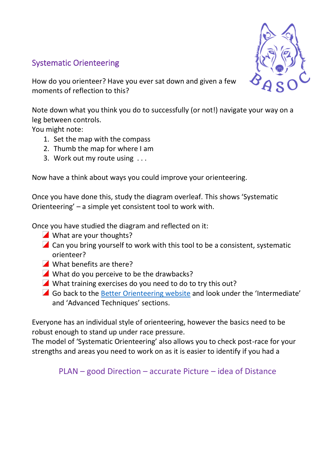#### Systematic Orienteering



How do you orienteer? Have you ever sat down and given a few moments of reflection to this?

Note down what you think you do to successfully (or not!) navigate your way on a leg between controls.

You might note:

- 1. Set the map with the compass
- 2. Thumb the map for where I am
- 3. Work out my route using . . .

Now have a think about ways you could improve your orienteering.

Once you have done this, study the diagram overleaf. This shows 'Systematic Orienteering' – a simple yet consistent tool to work with.

Once you have studied the diagram and reflected on it:

- What are your thoughts?
- $\blacksquare$  Can you bring yourself to work with this tool to be a consistent, systematic orienteer?
- What benefits are there?
- What do you perceive to be the drawbacks?
- What training exercises do you need to do to try this out?
- Go back to the [Better Orienteering website](https://betterorienteering.org/) and look under the 'Intermediate' and 'Advanced Techniques' sections.

Everyone has an individual style of orienteering, however the basics need to be robust enough to stand up under race pressure.

The model of 'Systematic Orienteering' also allows you to check post-race for your strengths and areas you need to work on as it is easier to identify if you had a

PLAN – good Direction – accurate Picture – idea of Distance